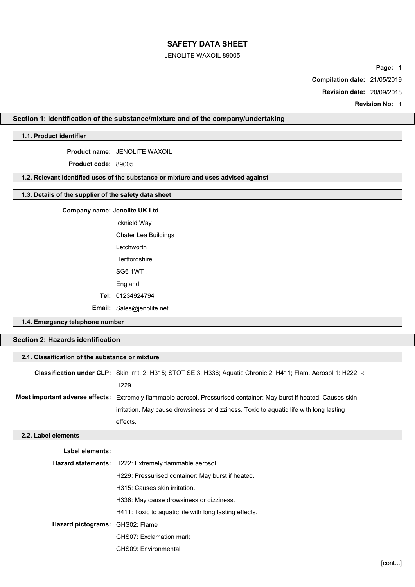### JENOLITE WAXOIL 89005

Page: 1

Compilation date: 21/05/2019

Revision date: 20/09/2018

Revision No: 1

# Section 1: Identification of the substance/mixture and of the company/undertaking

## 1.1. Product identifier

Product name: JENOLITE WAXOIL

Product code: 89005

# 1.2. Relevant identified uses of the substance or mixture and uses advised against

## 1.3. Details of the supplier of the safety data sheet

## Company name: **Jenolite UK Ltd**

Icknield Way Chater Lea Buildings Letchworth Hertfordshire SG6 1WT England Tel: 01234924794 Email: Sales@jenolite.net

1.4. Emergency telephone number

# Section 2: Hazards identification

|                                 | 2.1. Classification of the substance or mixture                                                                      |  |  |  |
|---------------------------------|----------------------------------------------------------------------------------------------------------------------|--|--|--|
|                                 | Classification under CLP: Skin Irrit. 2: H315; STOT SE 3: H336; Aquatic Chronic 2: H411; Flam. Aerosol 1: H222; -:   |  |  |  |
|                                 | H <sub>229</sub>                                                                                                     |  |  |  |
|                                 | Most important adverse effects: Extremely flammable aerosol. Pressurised container: May burst if heated. Causes skin |  |  |  |
|                                 | irritation. May cause drowsiness or dizziness. Toxic to aquatic life with long lasting                               |  |  |  |
|                                 | effects.                                                                                                             |  |  |  |
| 2.2. Label elements             |                                                                                                                      |  |  |  |
|                                 |                                                                                                                      |  |  |  |
| Label elements:                 |                                                                                                                      |  |  |  |
|                                 | Hazard statements: H222: Extremely flammable aerosol.                                                                |  |  |  |
|                                 | H229: Pressurised container: May burst if heated.                                                                    |  |  |  |
|                                 | H315: Causes skin irritation.                                                                                        |  |  |  |
|                                 | H336: May cause drowsiness or dizziness.                                                                             |  |  |  |
|                                 | H411: Toxic to aquatic life with long lasting effects.                                                               |  |  |  |
| Hazard pictograms: GHS02: Flame |                                                                                                                      |  |  |  |
|                                 | GHS07: Exclamation mark                                                                                              |  |  |  |
|                                 | GHS09: Environmental                                                                                                 |  |  |  |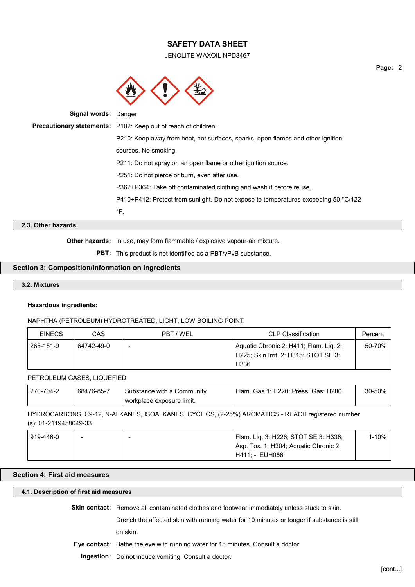JENOLITE WAXOIL NPD8467



| Precautionary statements: P102: Keep out of reach of children.                      |  |
|-------------------------------------------------------------------------------------|--|
| P210: Keep away from heat, hot surfaces, sparks, open flames and other ignition     |  |
| sources. No smoking.                                                                |  |
| P211: Do not spray on an open flame or other ignition source.                       |  |
| P251: Do not pierce or burn, even after use.                                        |  |
| P362+P364: Take off contaminated clothing and wash it before reuse.                 |  |
| P410+P412: Protect from sunlight. Do not expose to temperatures exceeding 50 °C/122 |  |
| °F.                                                                                 |  |

## 2.3. Other hazards

Other hazards: In use, may form flammable / explosive vapour-air mixture.

PBT: This product is not identified as a PBT/vPvB substance.

### Section 3: Composition/information on ingredients

# 3.2. Mixtures

#### Hazardous ingredients:

#### NAPHTHA (PETROLEUM) HYDROTREATED, LIGHT, LOW BOILING POINT

| <b>FINFCS</b> | CAS        | PBT / WEL | CLP Classification                                                                      | Percent |
|---------------|------------|-----------|-----------------------------------------------------------------------------------------|---------|
| 265-151-9     | 64742-49-0 |           | Aquatic Chronic 2: H411; Flam. Liq. 2:<br>H225; Skin Irrit. 2: H315; STOT SE 3:<br>H336 | 50-70%  |

PETROLEUM GASES, LIQUEFIED

| 270-704-2 | 68476-85-7 | $\lq$ Substance with a Community . | Flam. Gas 1: H220: Press. Gas: H280 | 30-50% |
|-----------|------------|------------------------------------|-------------------------------------|--------|
|           |            | workplace exposure limit.          |                                     |        |

HYDROCARBONS, C9-12, N-ALKANES, ISOALKANES, CYCLICS, (2-25%) AROMATICS - REACH registered number (s): 01-2119458049-33

| 919-446-0 | $\overline{\phantom{0}}$ | Flam. Lig. 3: H226; STOT SE 3: H336;  | l-10% |  |
|-----------|--------------------------|---------------------------------------|-------|--|
|           |                          | Asp. Tox. 1: H304; Aquatic Chronic 2: |       |  |
|           |                          | H411: -: EUH066 H                     |       |  |

## Section 4: First aid measures

## 4.1. Description of first aid measures

Skin contact: Remove all contaminated clothes and footwear immediately unless stuck to skin.

Drench the affected skin with running water for 10 minutes or longer if substance is still

on skin.

Eye contact: Bathe the eye with running water for 15 minutes. Consult a doctor.

Ingestion: Do not induce vomiting. Consult a doctor.

Page: 2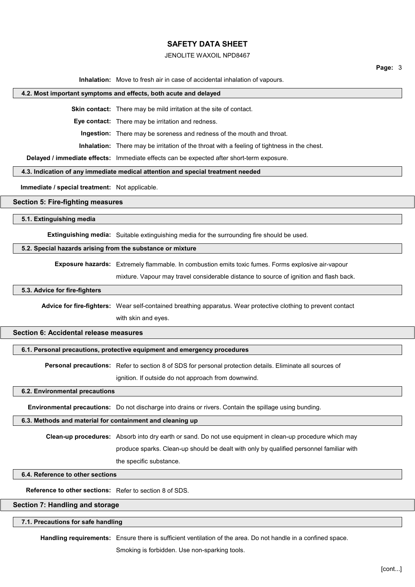## JENOLITE WAXOIL NPD8467

Inhalation: Move to fresh air in case of accidental inhalation of vapours.

#### 4.2. Most important symptoms and effects, both acute and delayed

Skin contact: There may be mild irritation at the site of contact.

Eye contact: There may be irritation and redness.

Ingestion: There may be soreness and redness of the mouth and throat.

Inhalation: There may be irritation of the throat with a feeling of tightness in the chest.

Delayed / immediate effects: Immediate effects can be expected after short-term exposure.

4.3. Indication of any immediate medical attention and special treatment needed

Immediate / special treatment: Not applicable.

### Section 5: Fire-fighting measures

5.1. Extinguishing media

Extinguishing media: Suitable extinguishing media for the surrounding fire should be used.

#### 5.2. Special hazards arising from the substance or mixture

Exposure hazards: Extremely flammable. In combustion emits toxic fumes. Forms explosive air-vapour

mixture. Vapour may travel considerable distance to source of ignition and flash back.

## 5.3. Advice for fire-fighters

Advice for fire-fighters: Wear self-contained breathing apparatus. Wear protective clothing to prevent contact with skin and eyes.

### Section 6: Accidental release measures

#### 6.1. Personal precautions, protective equipment and emergency procedures

Personal precautions: Refer to section 8 of SDS for personal protection details. Eliminate all sources of

ignition. If outside do not approach from downwind.

#### 6.2. Environmental precautions

Environmental precautions: Do not discharge into drains or rivers. Contain the spillage using bunding.

#### 6.3. Methods and material for containment and cleaning up

Clean-up procedures: Absorb into dry earth or sand. Do not use equipment in clean-up procedure which may produce sparks. Clean-up should be dealt with only by qualified personnel familiar with the specific substance.

#### 6.4. Reference to other sections

Reference to other sections: Refer to section 8 of SDS.

#### Section 7: Handling and storage

#### 7.1. Precautions for safe handling

Handling requirements: Ensure there is sufficient ventilation of the area. Do not handle in a confined space.

Smoking is forbidden. Use non-sparking tools.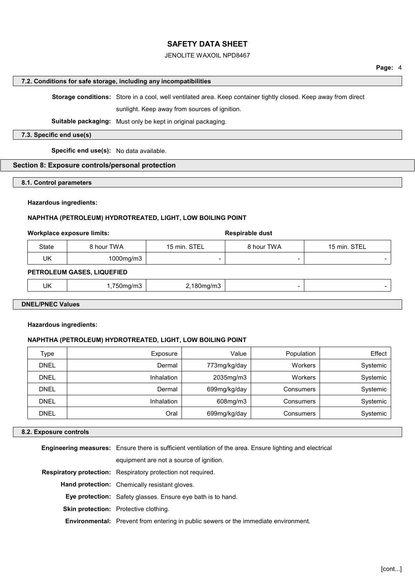## JENOLITE WAXOIL NPD8467

## Page: 4

#### 7.2. Conditions for safe storage, including any incompatibilities

Storage conditions: Store in a cool, well ventilated area. Keep container tightly closed. Keep away from direct

sunlight. Keep away from sources of ignition.

Suitable packaging: Must only be kept in original packaging.

## 7.3. Specific end use(s)

Specific end use(s): No data available.

## Section 8: Exposure controls/personal protection

8.1. Control parameters

### Hazardous ingredients:

## NAPHTHA (PETROLEUM) HYDROTREATED, LIGHT, LOW BOILING POINT

#### Workplace exposure limits: Workplace exposure limits:

| State | 8 hour TWA | 15 min. STEL | <b>9 hour TWA</b>        | <b>STEI</b><br>$15 \text{ min}$ . |
|-------|------------|--------------|--------------------------|-----------------------------------|
| UK    | 1000mg/m3  |              | $\overline{\phantom{a}}$ |                                   |

### PETROLEUM GASES, LIQUEFIED

|--|

## DNEL/PNEC Values

### Hazardous ingredients:

### NAPHTHA (PETROLEUM) HYDROTREATED, LIGHT, LOW BOILING POINT

| Type        | Exposure   | Value        | Population     | Effect   |
|-------------|------------|--------------|----------------|----------|
| <b>DNEL</b> | Dermal     | 773mg/kg/day | <b>Workers</b> | Systemic |
| <b>DNEL</b> | Inhalation | 2035mg/m3    | <b>Workers</b> | Systemic |
| <b>DNEL</b> | Dermal     | 699mg/kg/day | Consumers      | Systemic |
| <b>DNEL</b> | Inhalation | 608mg/m3     | Consumers      | Systemic |
| <b>DNEL</b> | Oral       | 699mg/kg/day | Consumers      | Systemic |

### 8.2. Exposure controls

| <b>Engineering measures:</b> Ensure there is sufficient ventilation of the area. Ensure lighting and electrical |  |  |
|-----------------------------------------------------------------------------------------------------------------|--|--|
| equipment are not a source of ignition.                                                                         |  |  |
| <b>Respiratory protection:</b> Respiratory protection not required.                                             |  |  |
| <b>Hand protection:</b> Chemically resistant gloves.                                                            |  |  |
| Eye protection: Safety glasses. Ensure eye bath is to hand.                                                     |  |  |
| <b>Skin protection:</b> Protective clothing.                                                                    |  |  |
| <b>Environmental:</b> Prevent from entering in public sewers or the immediate environment.                      |  |  |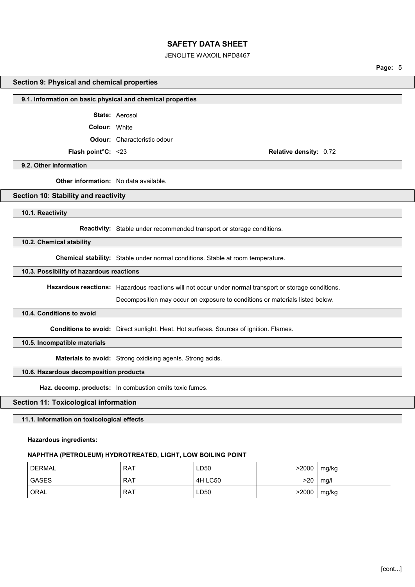### JENOLITE WAXOIL NPD8467

Page: 5

#### Section 9: Physical and chemical properties

#### 9.1. Information on basic physical and chemical properties

State: Aerosol

Colour: White

Odour: Characteristic odour

Flash point°C: <23 Relative density: 0.72

9.2. Other information

**Other information:** No data available.

### Section 10: Stability and reactivity

10.1. Reactivity

Reactivity: Stable under recommended transport or storage conditions.

10.2. Chemical stability

Chemical stability: Stable under normal conditions. Stable at room temperature.

## 10.3. Possibility of hazardous reactions

Hazardous reactions: Hazardous reactions will not occur under normal transport or storage conditions.

Decomposition may occur on exposure to conditions or materials listed below.

### 10.4. Conditions to avoid

Conditions to avoid: Direct sunlight. Heat. Hot surfaces. Sources of ignition. Flames.

10.5. Incompatible materials

Materials to avoid: Strong oxidising agents. Strong acids.

## 10.6. Hazardous decomposition products

Haz. decomp. products: In combustion emits toxic fumes.

### Section 11: Toxicological information

11.1. Information on toxicological effects

Hazardous ingredients:

### NAPHTHA (PETROLEUM) HYDROTREATED, LIGHT, LOW BOILING POINT

| <b>DERMAL</b> | RAT | ∟D50    | >2000 | mg/kg |
|---------------|-----|---------|-------|-------|
| <b>GASES</b>  | RAT | 4H LC50 | >20   | mg/l  |
| ORAL          | RAT | ∟D50    | >2000 | mg/kg |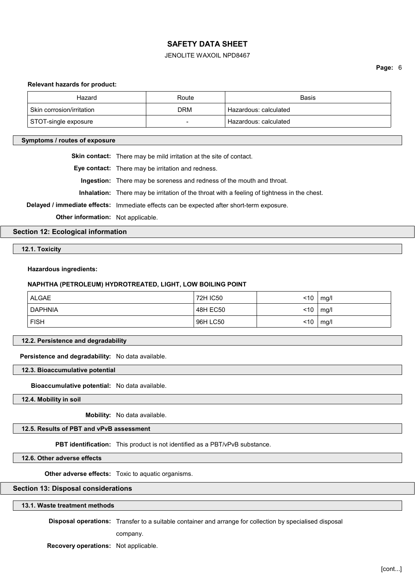## JENOLITE WAXOIL NPD8467

#### Relevant hazards for product:

| Hazard                    | Route | Basis                   |
|---------------------------|-------|-------------------------|
| Skin corrosion/irritation | DRM   | ' Hazardous: calculated |
| STOT-single exposure      | -     | ' Hazardous: calculated |

#### Symptoms / routes of exposure

Skin contact: There may be mild irritation at the site of contact.

Eye contact: There may be irritation and redness.

Ingestion: There may be soreness and redness of the mouth and throat.

Inhalation: There may be irritation of the throat with a feeling of tightness in the chest.

Delayed / immediate effects: Immediate effects can be expected after short-term exposure.

Other information: Not applicable.

Section 12: Ecological information

12.1. Toxicity

Hazardous ingredients:

#### NAPHTHA (PETROLEUM) HYDROTREATED, LIGHT, LOW BOILING POINT

| <b>ALGAE</b>   | 72H IC50 | ~10 | mg/l |
|----------------|----------|-----|------|
| <b>DAPHNIA</b> | 48H EC50 | ~10 | mg/l |
| <b>FISH</b>    | 96H LC50 | <10 | mg/l |

12.2. Persistence and degradability

Persistence and degradability: No data available.

12.3. Bioaccumulative potential

Bioaccumulative potential: No data available.

12.4. Mobility in soil

Mobility: No data available.

12.5. Results of PBT and vPvB assessment

PBT identification: This product is not identified as a PBT/vPvB substance.

12.6. Other adverse effects

Other adverse effects: Toxic to aquatic organisms.

### Section 13: Disposal considerations

### 13.1. Waste treatment methods

Disposal operations: Transfer to a suitable container and arrange for collection by specialised disposal

company.

Recovery operations: Not applicable.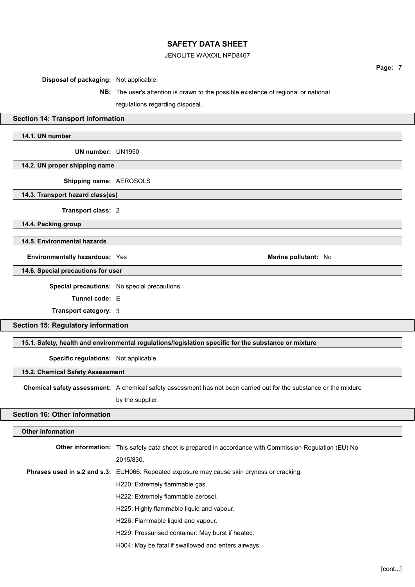## JENOLITE WAXOIL NPD8467

Disposal of packaging: Not applicable.

# NB: The user's attention is drawn to the possible existence of regional or national regulations regarding disposal.

## Section 14: Transport information

## 14.1. UN number

UN number: UN1950

14.2. UN proper shipping name

Shipping name: AEROSOLS

14.3. Transport hazard class(es)

Transport class: 2

14.4. Packing group

14.5. Environmental hazards

Environmentally hazardous: Yes Marine pollutant: No

14.6. Special precautions for user

Special precautions: No special precautions.

Tunnel code: E

Transport category: 3

Section 15: Regulatory information

15.1. Safety, health and environmental regulations/legislation specific for the substance or mixture

Specific regulations: Not applicable.

15.2. Chemical Safety Assessment

Chemical safety assessment: A chemical safety assessment has not been carried out for the substance or the mixture

by the supplier.

## Section 16: Other information

## Other information

| <b>Other information:</b> This safety data sheet is prepared in accordance with Commission Regulation (EU) No |
|---------------------------------------------------------------------------------------------------------------|
| 2015/830.                                                                                                     |
| <b>Phrases used in s.2 and s.3:</b> EUH066: Repeated exposure may cause skin dryness or cracking.             |
| H220: Extremely flammable gas.                                                                                |
| H222: Extremely flammable aerosol.                                                                            |
| H225: Highly flammable liquid and vapour.                                                                     |
| H226: Flammable liquid and vapour.                                                                            |
| H229: Pressurised container: May burst if heated.                                                             |
| H304: May be fatal if swallowed and enters airways.                                                           |

Page: 7